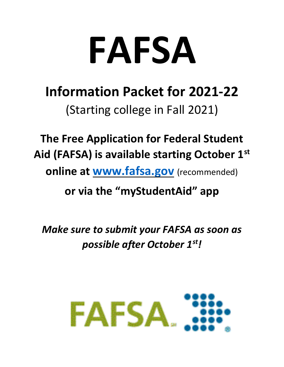# **FAFSA**

# **Information Packet for 2021-22** (Starting college in Fall 2021)

**The Free Application for Federal Student Aid (FAFSA) is available starting October 1st online at [www.fafsa.gov](http://www.fafsa.gov/)** (recommended)

**or via the "myStudentAid" app**

*Make sure to submit your FAFSA as soon as possible after October 1st!*

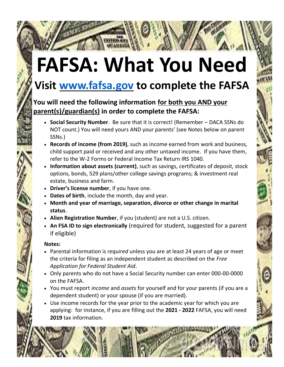# **FAFSA: What You Need**

## **Visit [www.fafsa.gov](http://www.fafsa.gov/) to complete the FAFSA**

#### **You will need the following information for both you AND your parent(s)/guardian(s) in order to complete the FAFSA:**

- **Social Security Number**. Be sure that it is correct! (Remember DACA SSNs do NOT count.) You will need yours AND your parents' (see Notes below on parent SSNs.)
- **Records of income (from 2019)**, such as income earned from work and business, child support paid or received and any other untaxed income. If you have them, refer to the W-2 Forms or Federal Income Tax Return IRS 1040.
- **Information about assets (current)**, such as savings, certificates of deposit, stock options, bonds, 529 plans/other college savings programs; & investment real estate, business and farm.
- **Driver's license number**, if you have one.
- **Dates of birth**, include the month, day and year.
- **Month and year of marriage, separation, divorce or other change in marital status**.
- **Alien Registration Number**, if you (student) are not a U.S. citizen.
- **An FSA ID to sign electronically** (required for student, suggested for a parent if eligible)

#### **Notes:**

- Parental information is *required* unless you are at least 24 years of age or meet the criteria for filing as an independent student as described on the *Free Application for Federal Student Aid*.
- Only parents who do not have a Social Security number can enter 000-00-0000 on the FAFSA.
- You must report *income* and *assets* for yourself and for your parents (if you are a dependent student) or your spouse (if you are married).
- Use income records for the year prior to the academic year for which you are applying: for instance, if you are filling out the **2021 - 2022** FAFSA, you will need **2019** tax information.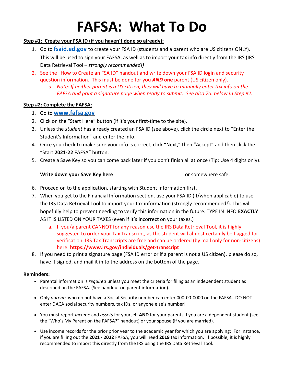# **FAFSA: What To Do**

#### **Step #1: Create your FSA ID (if you haven't done so already):**

- 1. Go to **[fsaid.ed.gov](http://www.fsaid.ed.gov/)** to create your FSA ID (students and a parent who are US citizens ONLY). This will be used to sign your FAFSA, as well as to import your tax info directly from the IRS (IRS Data Retrieval Tool – *strongly recommended!)*
- 2. See the "How to Create an FSA ID" handout and write down your FSA ID login and security question information. This must be done for you *AND* **one** parent (US citizen only).
	- *a. Note: If neither parent is a US citizen, they will have to manually enter tax info on the FAFSA and print a signature page when ready to submit. See also 7a. below in Step #2.*

#### **Step #2: Complete the FAFSA:**

#### 1. Go to **[www.fafsa.gov](http://www.fafsa.gov/)**

- 2. Click on the "Start Here" button (if it's your first-time to the site).
- 3. Unless the *student* has already created an FSA ID (see above), click the circle next to "Enter the Student's Information" and enter the info.
- 4. Once you check to make sure your info is correct, click "Next," then "Accept" and then click the "Start **2021-22** FAFSA" button.
- 5. Create a Save Key so you can come back later if you don't finish all at once (Tip: Use 4 digits only).

Write down your Save Key here **Landsler** and the same or somewhere safe.

- 6. Proceed on to the application, starting with Student information first.
- 7. When you get to the Financial Information section, use your FSA ID (if/when applicable) to use the IRS Data Retrieval Tool to import your tax information (strongly recommended!). This will hopefully help to prevent needing to verify this information in the future. TYPE IN INFO **EXACTLY**  AS IT IS LISTED ON YOUR TAXES (even if it's incorrect on your taxes.)
	- a. If you/a parent CANNOT for any reason use the IRS Data Retrieval Tool, it is highly suggested to order your Tax Transcript, as the student will almost certainly be flagged for verification. IRS Tax Transcripts are free and can be ordered (by mail only for non-citizens) here: **<https://www.irs.gov/individuals/get-transcript>**
- 8. If you need to print a signature page (FSA ID error or if a parent is not a US citizen), please do so, have it signed, and mail it in to the address on the bottom of the page.

#### **Reminders:**

- Parental information is *required* unless you meet the criteria for filing as an independent student as described on the FAFSA. (See handout on parent information).
- Only *parents* who do not have a Social Security number can enter 000-00-0000 on the FAFSA. DO NOT enter DACA social security numbers, tax IDs, or anyone else's number!
- You must report *income* and *assets* for yourself **AND** for your parents if you are a dependent student (see the "Who's My Parent on the FAFSA?" handout) or your spouse (if you are married).
- Use income records for the prior prior year to the academic year for which you are applying: For instance, if you are filling out the **2021 - 2022** FAFSA, you will need **2019** tax information. If possible, it is highly recommended to import this directly from the IRS using the IRS Data Retrieval Tool.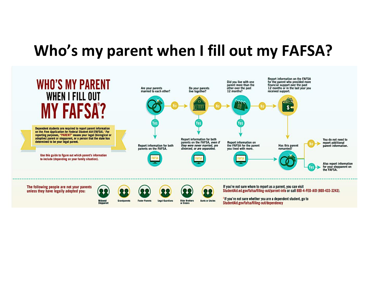# **Who's my parent when I fill out my FAFSA?**



Widowed<br>Stepparent

**Foster Parents** 

**Older Brothers** or Sisters

'If you're not sure whether you are a dependent student, go to StudentAid.gov/fafsa/filling-out/dependency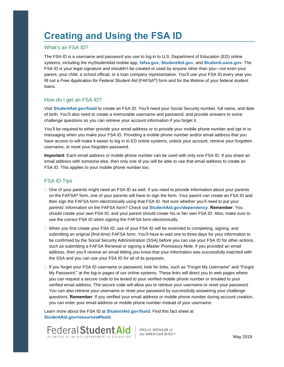### **Creating and Using the FSA ID**

#### What's an FSA ID?

The FSA ID is <sup>a</sup> username and password you use to log in to U.S. Department of Education (ED) online systems, including the myStudentAid mobile app, **fafsa.gov**, **StudentAid.gov**, and **StudentLoans.gov**. The FSA ID is your legal signature and shouldn't be created or used by anyone other than you—not even your parent, your child, <sup>a</sup> school official, or <sup>a</sup> loan company representative. You'll use your FSA ID every year you fill out <sup>a</sup> *Free Application for Federal Student Aid* (FAFSA®) form and for the lifetime of your federal student loans.

#### How do I get an FSA ID?

Visit **StudentAid.gov/fsaid** to create an FSA ID. You'll need your Social Security number, full name, and date of birth. You'll also need to create <sup>a</sup> memorable username and password, and provide answers to some challenge questions so you can retrieve your account information if you forget it.

You'll be required to either provide your email address or to provide your mobile phone number and opt-in to messaging when you make your FSA ID. Providing <sup>a</sup> mobile phone number and/or email address that you have access to will make it easier to log in to ED online systems, unlock your account, retrieve your forgotten username, or reset your forgotten password.

**Important**: Each email address or mobile phone number can be used with only one FSA ID. If you share an email address with someone else, then only one of you will be able to use that email address to create an FSA ID. This applies to your mobile phone number too.

#### FSA ID Tips

- $\Box$  One of your parents might need an FSA ID as well. If you need to provide information about your parents on the FAFSA® form, one of your parents will have to sign the form. Your parent can create an FSA ID and then sign the FAFSA form electronically using that FSA ID. Not sure whether you'll need to put your parents' information on the FAFSA form? Check out **StudentAid.gov/dependency**. **Remember**: You should create your own FSA ID, and your parent should create his or her own FSA ID. Also, make sure to use the correct FSA ID when signing the FAFSA form electronically.
- $\Box$  When you first create your FSA ID, use of your FSA ID will be restricted to completing, signing, and submitting an original (first-time) FAFSA form. You'll have to wait one to three days for your information to be confirmed by the Social Security Administration (SSA) before you can use your FSA ID for other actions, such as submitting <sup>a</sup> FAFSA Renewal or signing <sup>a</sup> *Master Promissory Note*. If you provided an email address, then you'll receive an email letting you know that your information was successfully matched with the SSA and you can use your FSA ID for all of its purposes.
- If you forget your FSA ID username or password, look for links, such as "Forgot My Username" and "Forgot My Password," at the log-in pages of our online systems. These links will direct you to web pages where you can request <sup>a</sup> secure code to be texted to your verified mobile phone number or emailed to your verified email address. The secure code will allow you to retrieve your username or reset your password. You can also retrieve your username or reset your password by successfully answering your challenge questions. **Remember**: If you verified your email address or mobile phone number during account creation, you can enter your email address or mobile phone number instead of your username.

Learn more about the FSA ID at **StudentAid.gov/fsaid**. Find this fact sheet at **StudentAid.gov/resources#fsaid**.

![](_page_4_Picture_12.jpeg)

PROUD SPONSOR of the AMERICAN MIND®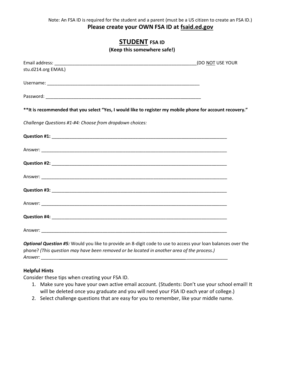#### **STUDENT FSA ID**

**(Keep this somewhere safe!)**

|                                                                                                            | (DO NOT USE YOUR |
|------------------------------------------------------------------------------------------------------------|------------------|
| stu.d214.org EMAIL)                                                                                        |                  |
|                                                                                                            |                  |
|                                                                                                            |                  |
| ** It is recommended that you select "Yes, I would like to register my mobile phone for account recovery." |                  |
| Challenge Questions #1-#4: Choose from dropdown choices:                                                   |                  |
|                                                                                                            |                  |
|                                                                                                            |                  |
|                                                                                                            |                  |
|                                                                                                            |                  |
|                                                                                                            |                  |
|                                                                                                            |                  |
|                                                                                                            |                  |
|                                                                                                            |                  |

*Optional Question #5:* Would you like to provide an 8-digit code to use to access your loan balances over the phone? *(This question may have been removed or be located in another area of the process.) Answer: \_\_\_\_\_\_\_\_\_\_\_\_\_\_\_\_\_\_\_\_\_\_\_\_\_\_\_\_\_\_\_\_\_\_\_\_\_\_\_\_\_\_\_\_\_\_\_\_\_\_\_\_\_\_\_\_\_ \_\_\_\_\_\_\_\_\_\_\_\_\_\_\_\_*

#### **Helpful Hints**

Consider these tips when creating your FSA ID.

- 1. Make sure you have your own active email account. (Students: Don't use your school email! It will be deleted once you graduate and you will need your FSA ID each year of college.)
- 2. Select challenge questions that are easy for you to remember, like your middle name.